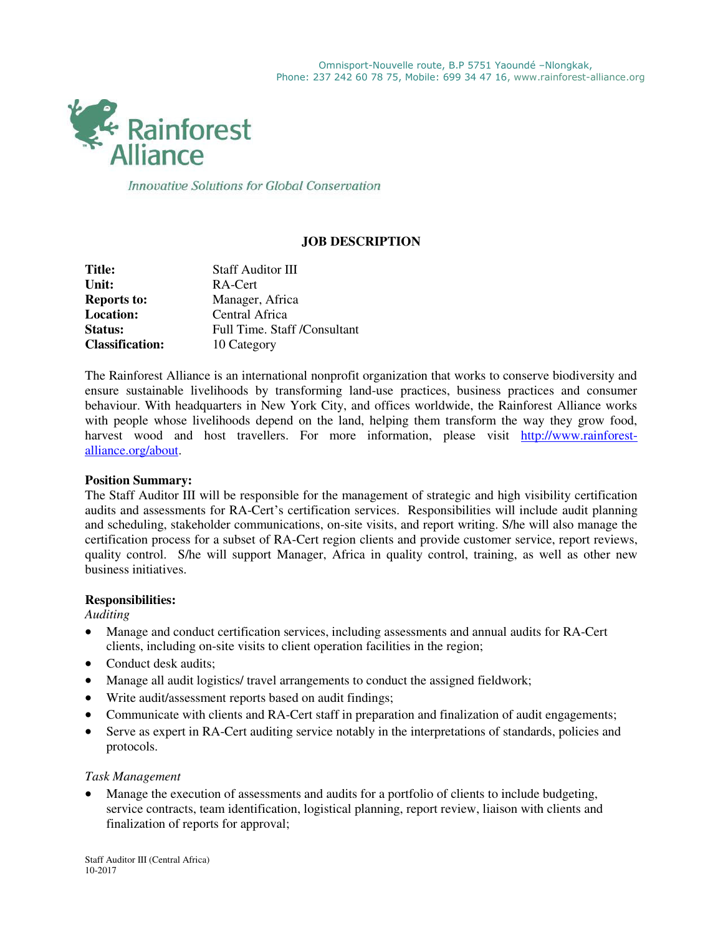

Innovative Solutions for Global Conservation

## **JOB DESCRIPTION**

| Title:                 | <b>Staff Auditor III</b>     |
|------------------------|------------------------------|
| Unit:                  | RA-Cert                      |
| <b>Reports to:</b>     | Manager, Africa              |
| <b>Location:</b>       | Central Africa               |
| <b>Status:</b>         | Full Time. Staff /Consultant |
| <b>Classification:</b> | 10 Category                  |

The Rainforest Alliance is an international nonprofit organization that works to conserve biodiversity and ensure sustainable livelihoods by transforming land-use practices, business practices and consumer behaviour. With headquarters in New York City, and offices worldwide, the Rainforest Alliance works with people whose livelihoods depend on the land, helping them transform the way they grow food, harvest wood and host travellers. For more information, please visit [http://www.rainforest](http://www.rainforest-alliance.org/about)[alliance.org/about.](http://www.rainforest-alliance.org/about)

#### **Position Summary:**

The Staff Auditor III will be responsible for the management of strategic and high visibility certification audits and assessments for RA-Cert's certification services. Responsibilities will include audit planning and scheduling, stakeholder communications, on-site visits, and report writing. S/he will also manage the certification process for a subset of RA-Cert region clients and provide customer service, report reviews, quality control. S/he will support Manager, Africa in quality control, training, as well as other new business initiatives.

#### **Responsibilities:**

*Auditing* 

- Manage and conduct certification services, including assessments and annual audits for RA-Cert clients, including on-site visits to client operation facilities in the region;
- Conduct desk audits;
- Manage all audit logistics/ travel arrangements to conduct the assigned fieldwork;
- Write audit/assessment reports based on audit findings;
- Communicate with clients and RA-Cert staff in preparation and finalization of audit engagements;
- Serve as expert in RA-Cert auditing service notably in the interpretations of standards, policies and protocols.

#### *Task Management*

 Manage the execution of assessments and audits for a portfolio of clients to include budgeting, service contracts, team identification, logistical planning, report review, liaison with clients and finalization of reports for approval;

Staff Auditor III (Central Africa) 10-2017